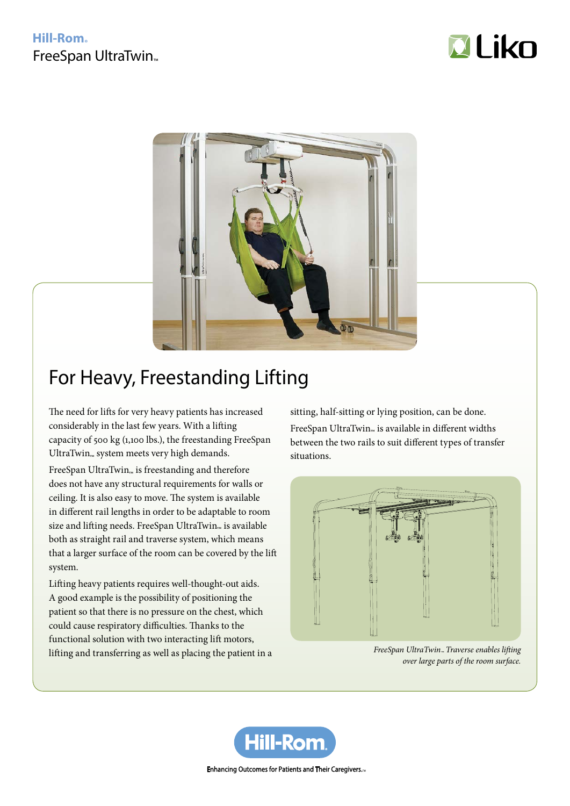## **Hill-Rom** FreeSpan UltraTwin<sub>™</sub>





# For Heavy, Freestanding Lifting

The need for lifts for very heavy patients has increased considerably in the last few years. With a lifting capacity of 500 kg (1,100 lbs.), the freestanding FreeSpan  $U$ ltra $Twin_{\mathbb{R}}$  system meets very high demands.

FreeSpan UltraTwin $_{\mathbb{N}}$  is freestanding and therefore does not have any structural requirements for walls or ceiling. It is also easy to move. The system is available in different rail lengths in order to be adaptable to room size and lifting needs. FreeSpan UltraTwin<sub>™</sub> is available<br>. both as straight rail and traverse system, which means that a larger surface of the room can be covered by the lift system.

Lifting heavy patients requires well-thought-out aids. A good example is the possibility of positioning the patient so that there is no pressure on the chest, which could cause respiratory difficulties. Thanks to the functional solution with two interacting lift motors, lifting and transferring as well as placing the patient in a sitting, half-sitting or lying position, can be done. FreeSpan UltraTwin<sub>™</sub> is available in different widths between the two rails to suit different types of transfer situations.



*FreeSpan UltraTwin™ Traverse enables lifting over large parts of the room surface.*



Enhancing Outcomes for Patients and Their Caregivers...